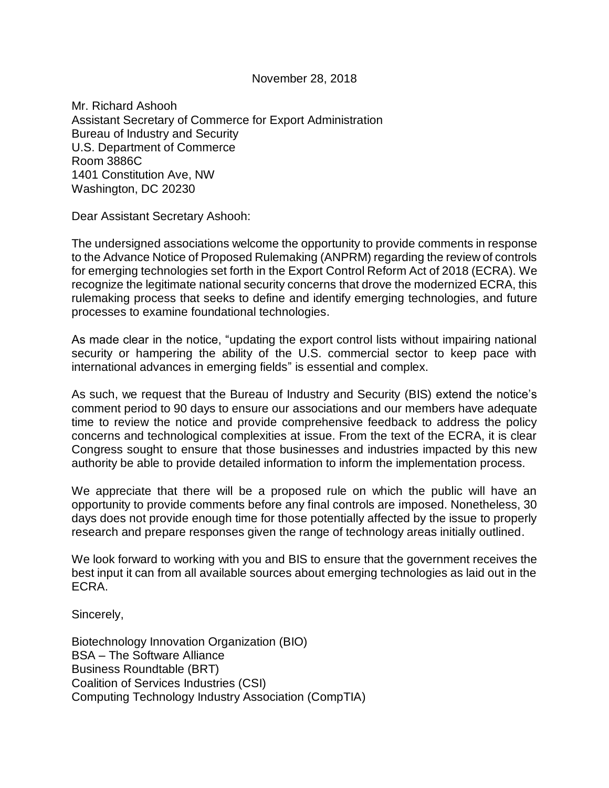November 28, 2018

Mr. Richard Ashooh Assistant Secretary of Commerce for Export Administration Bureau of Industry and Security U.S. Department of Commerce Room 3886C 1401 Constitution Ave, NW Washington, DC 20230

Dear Assistant Secretary Ashooh:

The undersigned associations welcome the opportunity to provide comments in response to the Advance Notice of Proposed Rulemaking (ANPRM) regarding the review of controls for emerging technologies set forth in the Export Control Reform Act of 2018 (ECRA). We recognize the legitimate national security concerns that drove the modernized ECRA, this rulemaking process that seeks to define and identify emerging technologies, and future processes to examine foundational technologies.

As made clear in the notice, "updating the export control lists without impairing national security or hampering the ability of the U.S. commercial sector to keep pace with international advances in emerging fields" is essential and complex.

As such, we request that the Bureau of Industry and Security (BIS) extend the notice's comment period to 90 days to ensure our associations and our members have adequate time to review the notice and provide comprehensive feedback to address the policy concerns and technological complexities at issue. From the text of the ECRA, it is clear Congress sought to ensure that those businesses and industries impacted by this new authority be able to provide detailed information to inform the implementation process.

We appreciate that there will be a proposed rule on which the public will have an opportunity to provide comments before any final controls are imposed. Nonetheless, 30 days does not provide enough time for those potentially affected by the issue to properly research and prepare responses given the range of technology areas initially outlined.

We look forward to working with you and BIS to ensure that the government receives the best input it can from all available sources about emerging technologies as laid out in the ECRA.

Sincerely,

Biotechnology Innovation Organization (BIO) BSA – The Software Alliance Business Roundtable (BRT) Coalition of Services Industries (CSI) Computing Technology Industry Association (CompTIA)